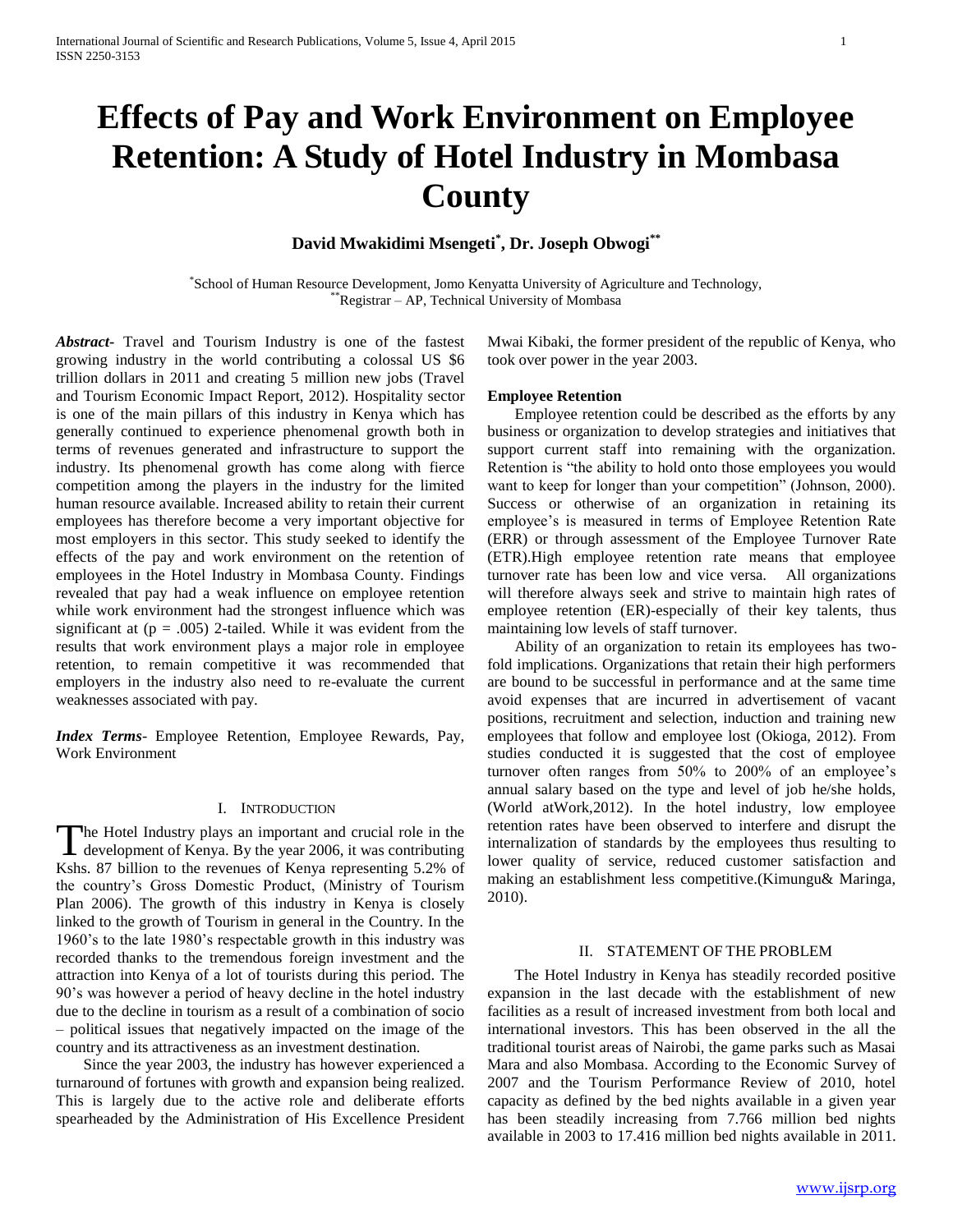# **Effects of Pay and Work Environment on Employee Retention: A Study of Hotel Industry in Mombasa County**

**David Mwakidimi Msengeti\* , Dr. Joseph Obwogi\*\***

\* School of Human Resource Development, Jomo Kenyatta University of Agriculture and Technology, \*Registrar – AP, Technical University of Mombasa

*Abstract***-** Travel and Tourism Industry is one of the fastest growing industry in the world contributing a colossal US \$6 trillion dollars in 2011 and creating 5 million new jobs (Travel and Tourism Economic Impact Report, 2012). Hospitality sector is one of the main pillars of this industry in Kenya which has generally continued to experience phenomenal growth both in terms of revenues generated and infrastructure to support the industry. Its phenomenal growth has come along with fierce competition among the players in the industry for the limited human resource available. Increased ability to retain their current employees has therefore become a very important objective for most employers in this sector. This study seeked to identify the effects of the pay and work environment on the retention of employees in the Hotel Industry in Mombasa County. Findings revealed that pay had a weak influence on employee retention while work environment had the strongest influence which was significant at  $(p = .005)$  2-tailed. While it was evident from the results that work environment plays a major role in employee retention, to remain competitive it was recommended that employers in the industry also need to re-evaluate the current weaknesses associated with pay*.*

*Index Terms*- Employee Retention, Employee Rewards, Pay, Work Environment

#### I. INTRODUCTION

he Hotel Industry plays an important and crucial role in the The Hotel Industry plays an important and crucial role in the development of Kenya. By the year 2006, it was contributing Kshs. 87 billion to the revenues of Kenya representing 5.2% of the country's Gross Domestic Product, (Ministry of Tourism Plan 2006). The growth of this industry in Kenya is closely linked to the growth of Tourism in general in the Country. In the 1960's to the late 1980's respectable growth in this industry was recorded thanks to the tremendous foreign investment and the attraction into Kenya of a lot of tourists during this period. The 90's was however a period of heavy decline in the hotel industry due to the decline in tourism as a result of a combination of socio – political issues that negatively impacted on the image of the country and its attractiveness as an investment destination.

 Since the year 2003, the industry has however experienced a turnaround of fortunes with growth and expansion being realized. This is largely due to the active role and deliberate efforts spearheaded by the Administration of His Excellence President Mwai Kibaki, the former president of the republic of Kenya, who took over power in the year 2003.

#### **Employee Retention**

 Employee retention could be described as the efforts by any business or organization to develop strategies and initiatives that support current staff into remaining with the organization. Retention is "the ability to hold onto those employees you would want to keep for longer than your competition" (Johnson, 2000). Success or otherwise of an organization in retaining its employee's is measured in terms of Employee Retention Rate (ERR) or through assessment of the Employee Turnover Rate (ETR).High employee retention rate means that employee turnover rate has been low and vice versa. All organizations will therefore always seek and strive to maintain high rates of employee retention (ER)-especially of their key talents, thus maintaining low levels of staff turnover.

 Ability of an organization to retain its employees has twofold implications. Organizations that retain their high performers are bound to be successful in performance and at the same time avoid expenses that are incurred in advertisement of vacant positions, recruitment and selection, induction and training new employees that follow and employee lost (Okioga, 2012). From studies conducted it is suggested that the cost of employee turnover often ranges from 50% to 200% of an employee's annual salary based on the type and level of job he/she holds, (World atWork,2012). In the hotel industry, low employee retention rates have been observed to interfere and disrupt the internalization of standards by the employees thus resulting to lower quality of service, reduced customer satisfaction and making an establishment less competitive.(Kimungu& Maringa, 2010).

#### II. STATEMENT OF THE PROBLEM

 The Hotel Industry in Kenya has steadily recorded positive expansion in the last decade with the establishment of new facilities as a result of increased investment from both local and international investors. This has been observed in the all the traditional tourist areas of Nairobi, the game parks such as Masai Mara and also Mombasa. According to the Economic Survey of 2007 and the Tourism Performance Review of 2010, hotel capacity as defined by the bed nights available in a given year has been steadily increasing from 7.766 million bed nights available in 2003 to 17.416 million bed nights available in 2011.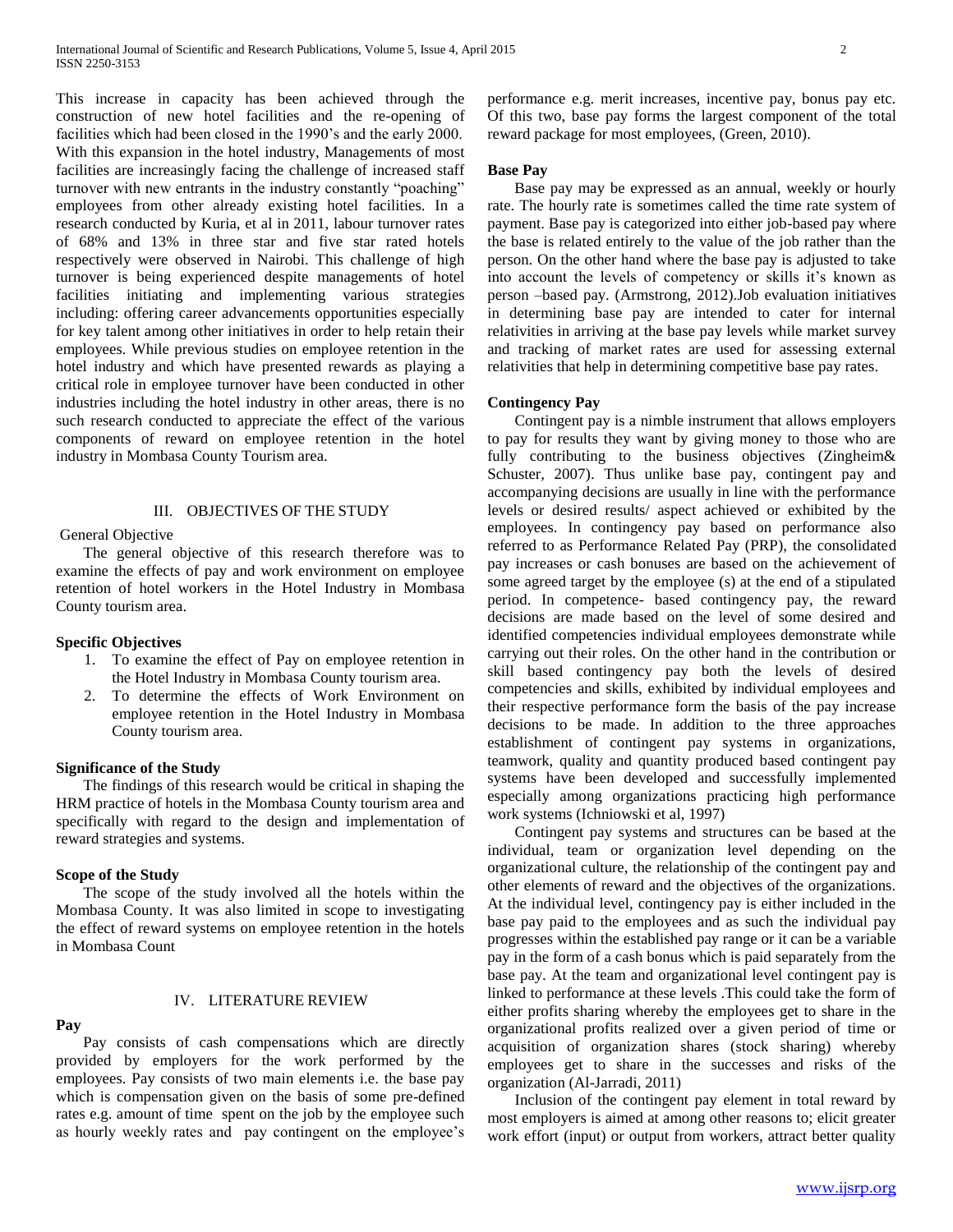This increase in capacity has been achieved through the construction of new hotel facilities and the re-opening of facilities which had been closed in the 1990's and the early 2000. With this expansion in the hotel industry, Managements of most facilities are increasingly facing the challenge of increased staff turnover with new entrants in the industry constantly "poaching" employees from other already existing hotel facilities. In a research conducted by Kuria, et al in 2011, labour turnover rates of 68% and 13% in three star and five star rated hotels respectively were observed in Nairobi. This challenge of high turnover is being experienced despite managements of hotel facilities initiating and implementing various strategies including: offering career advancements opportunities especially for key talent among other initiatives in order to help retain their employees. While previous studies on employee retention in the hotel industry and which have presented rewards as playing a critical role in employee turnover have been conducted in other industries including the hotel industry in other areas, there is no such research conducted to appreciate the effect of the various components of reward on employee retention in the hotel industry in Mombasa County Tourism area.

#### III. OBJECTIVES OF THE STUDY

## General Objective

 The general objective of this research therefore was to examine the effects of pay and work environment on employee retention of hotel workers in the Hotel Industry in Mombasa County tourism area.

#### **Specific Objectives**

- 1. To examine the effect of Pay on employee retention in the Hotel Industry in Mombasa County tourism area.
- 2. To determine the effects of Work Environment on employee retention in the Hotel Industry in Mombasa County tourism area.

#### **Significance of the Study**

 The findings of this research would be critical in shaping the HRM practice of hotels in the Mombasa County tourism area and specifically with regard to the design and implementation of reward strategies and systems.

#### **Scope of the Study**

 The scope of the study involved all the hotels within the Mombasa County. It was also limited in scope to investigating the effect of reward systems on employee retention in the hotels in Mombasa Count

# IV. LITERATURE REVIEW

#### **Pay**

 Pay consists of cash compensations which are directly provided by employers for the work performed by the employees. Pay consists of two main elements i.e. the base pay which is compensation given on the basis of some pre-defined rates e.g. amount of time spent on the job by the employee such as hourly weekly rates and pay contingent on the employee's performance e.g. merit increases, incentive pay, bonus pay etc. Of this two, base pay forms the largest component of the total reward package for most employees, (Green, 2010).

#### **Base Pay**

 Base pay may be expressed as an annual, weekly or hourly rate. The hourly rate is sometimes called the time rate system of payment. Base pay is categorized into either job-based pay where the base is related entirely to the value of the job rather than the person. On the other hand where the base pay is adjusted to take into account the levels of competency or skills it's known as person –based pay. (Armstrong, 2012).Job evaluation initiatives in determining base pay are intended to cater for internal relativities in arriving at the base pay levels while market survey and tracking of market rates are used for assessing external relativities that help in determining competitive base pay rates.

#### **Contingency Pay**

 Contingent pay is a nimble instrument that allows employers to pay for results they want by giving money to those who are fully contributing to the business objectives (Zingheim & Schuster, 2007). Thus unlike base pay, contingent pay and accompanying decisions are usually in line with the performance levels or desired results/ aspect achieved or exhibited by the employees. In contingency pay based on performance also referred to as Performance Related Pay (PRP), the consolidated pay increases or cash bonuses are based on the achievement of some agreed target by the employee (s) at the end of a stipulated period. In competence- based contingency pay, the reward decisions are made based on the level of some desired and identified competencies individual employees demonstrate while carrying out their roles. On the other hand in the contribution or skill based contingency pay both the levels of desired competencies and skills, exhibited by individual employees and their respective performance form the basis of the pay increase decisions to be made. In addition to the three approaches establishment of contingent pay systems in organizations, teamwork, quality and quantity produced based contingent pay systems have been developed and successfully implemented especially among organizations practicing high performance work systems (Ichniowski et al, 1997)

 Contingent pay systems and structures can be based at the individual, team or organization level depending on the organizational culture, the relationship of the contingent pay and other elements of reward and the objectives of the organizations. At the individual level, contingency pay is either included in the base pay paid to the employees and as such the individual pay progresses within the established pay range or it can be a variable pay in the form of a cash bonus which is paid separately from the base pay. At the team and organizational level contingent pay is linked to performance at these levels .This could take the form of either profits sharing whereby the employees get to share in the organizational profits realized over a given period of time or acquisition of organization shares (stock sharing) whereby employees get to share in the successes and risks of the organization (Al-Jarradi, 2011)

 Inclusion of the contingent pay element in total reward by most employers is aimed at among other reasons to; elicit greater work effort (input) or output from workers, attract better quality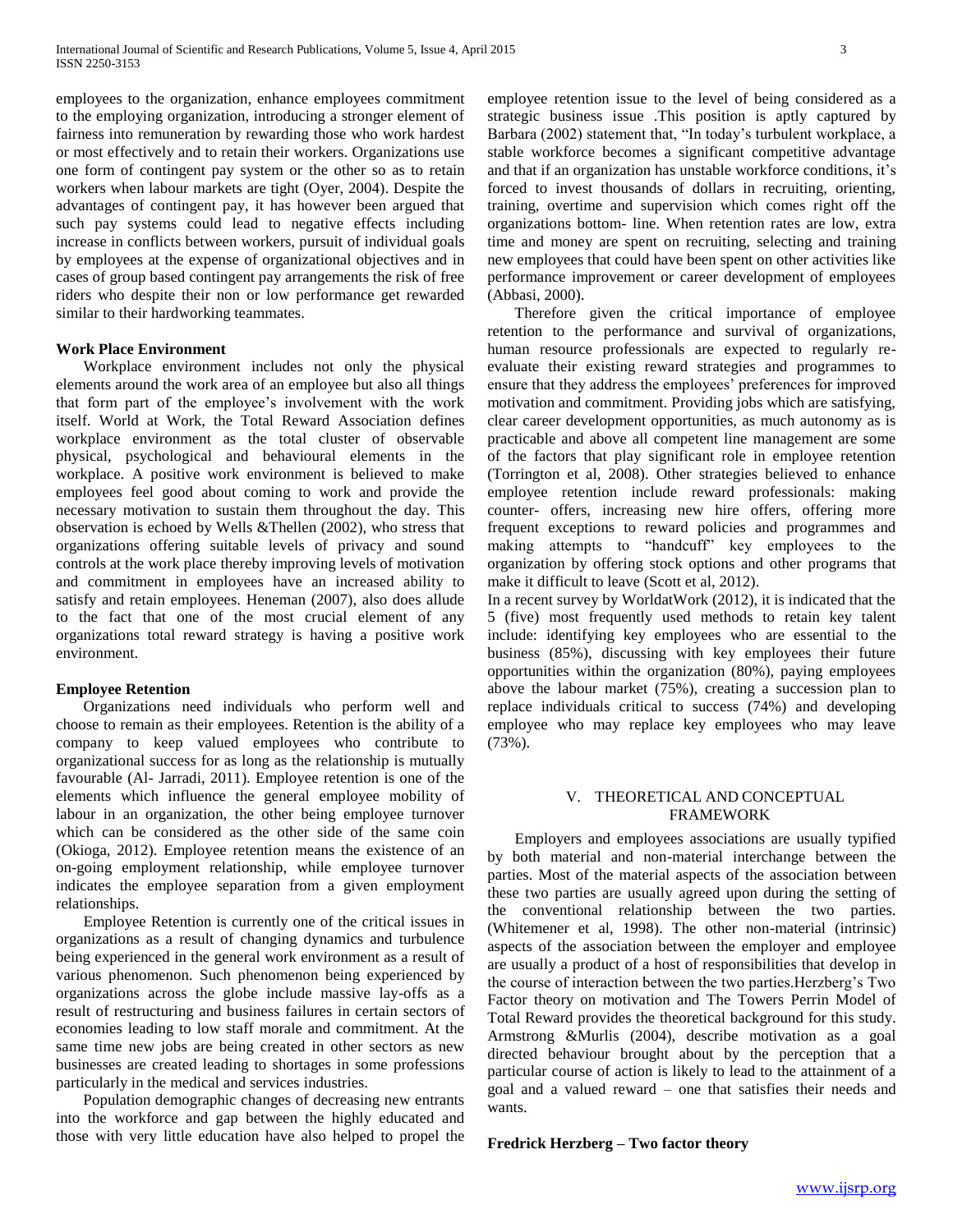employees to the organization, enhance employees commitment to the employing organization, introducing a stronger element of fairness into remuneration by rewarding those who work hardest or most effectively and to retain their workers. Organizations use one form of contingent pay system or the other so as to retain workers when labour markets are tight (Oyer, 2004). Despite the advantages of contingent pay, it has however been argued that such pay systems could lead to negative effects including increase in conflicts between workers, pursuit of individual goals by employees at the expense of organizational objectives and in cases of group based contingent pay arrangements the risk of free riders who despite their non or low performance get rewarded similar to their hardworking teammates.

# **Work Place Environment**

 Workplace environment includes not only the physical elements around the work area of an employee but also all things that form part of the employee's involvement with the work itself. World at Work, the Total Reward Association defines workplace environment as the total cluster of observable physical, psychological and behavioural elements in the workplace. A positive work environment is believed to make employees feel good about coming to work and provide the necessary motivation to sustain them throughout the day. This observation is echoed by Wells &Thellen (2002), who stress that organizations offering suitable levels of privacy and sound controls at the work place thereby improving levels of motivation and commitment in employees have an increased ability to satisfy and retain employees. Heneman (2007), also does allude to the fact that one of the most crucial element of any organizations total reward strategy is having a positive work environment.

#### **Employee Retention**

 Organizations need individuals who perform well and choose to remain as their employees. Retention is the ability of a company to keep valued employees who contribute to organizational success for as long as the relationship is mutually favourable (Al- Jarradi, 2011). Employee retention is one of the elements which influence the general employee mobility of labour in an organization, the other being employee turnover which can be considered as the other side of the same coin (Okioga, 2012). Employee retention means the existence of an on-going employment relationship, while employee turnover indicates the employee separation from a given employment relationships.

 Employee Retention is currently one of the critical issues in organizations as a result of changing dynamics and turbulence being experienced in the general work environment as a result of various phenomenon. Such phenomenon being experienced by organizations across the globe include massive lay-offs as a result of restructuring and business failures in certain sectors of economies leading to low staff morale and commitment. At the same time new jobs are being created in other sectors as new businesses are created leading to shortages in some professions particularly in the medical and services industries.

 Population demographic changes of decreasing new entrants into the workforce and gap between the highly educated and those with very little education have also helped to propel the employee retention issue to the level of being considered as a strategic business issue .This position is aptly captured by Barbara (2002) statement that, "In today's turbulent workplace, a stable workforce becomes a significant competitive advantage and that if an organization has unstable workforce conditions, it's forced to invest thousands of dollars in recruiting, orienting, training, overtime and supervision which comes right off the organizations bottom- line. When retention rates are low, extra time and money are spent on recruiting, selecting and training new employees that could have been spent on other activities like performance improvement or career development of employees (Abbasi, 2000).

 Therefore given the critical importance of employee retention to the performance and survival of organizations, human resource professionals are expected to regularly reevaluate their existing reward strategies and programmes to ensure that they address the employees' preferences for improved motivation and commitment. Providing jobs which are satisfying, clear career development opportunities, as much autonomy as is practicable and above all competent line management are some of the factors that play significant role in employee retention (Torrington et al, 2008). Other strategies believed to enhance employee retention include reward professionals: making counter- offers, increasing new hire offers, offering more frequent exceptions to reward policies and programmes and making attempts to "handcuff" key employees to the organization by offering stock options and other programs that make it difficult to leave (Scott et al, 2012).

In a recent survey by WorldatWork (2012), it is indicated that the 5 (five) most frequently used methods to retain key talent include: identifying key employees who are essential to the business (85%), discussing with key employees their future opportunities within the organization (80%), paying employees above the labour market (75%), creating a succession plan to replace individuals critical to success (74%) and developing employee who may replace key employees who may leave (73%).

# V. THEORETICAL AND CONCEPTUAL FRAMEWORK

 Employers and employees associations are usually typified by both material and non-material interchange between the parties. Most of the material aspects of the association between these two parties are usually agreed upon during the setting of the conventional relationship between the two parties. (Whitemener et al, 1998). The other non-material (intrinsic) aspects of the association between the employer and employee are usually a product of a host of responsibilities that develop in the course of interaction between the two parties.Herzberg's Two Factor theory on motivation and The Towers Perrin Model of Total Reward provides the theoretical background for this study. Armstrong &Murlis (2004), describe motivation as a goal directed behaviour brought about by the perception that a particular course of action is likely to lead to the attainment of a goal and a valued reward – one that satisfies their needs and wants.

#### **Fredrick Herzberg – Two factor theory**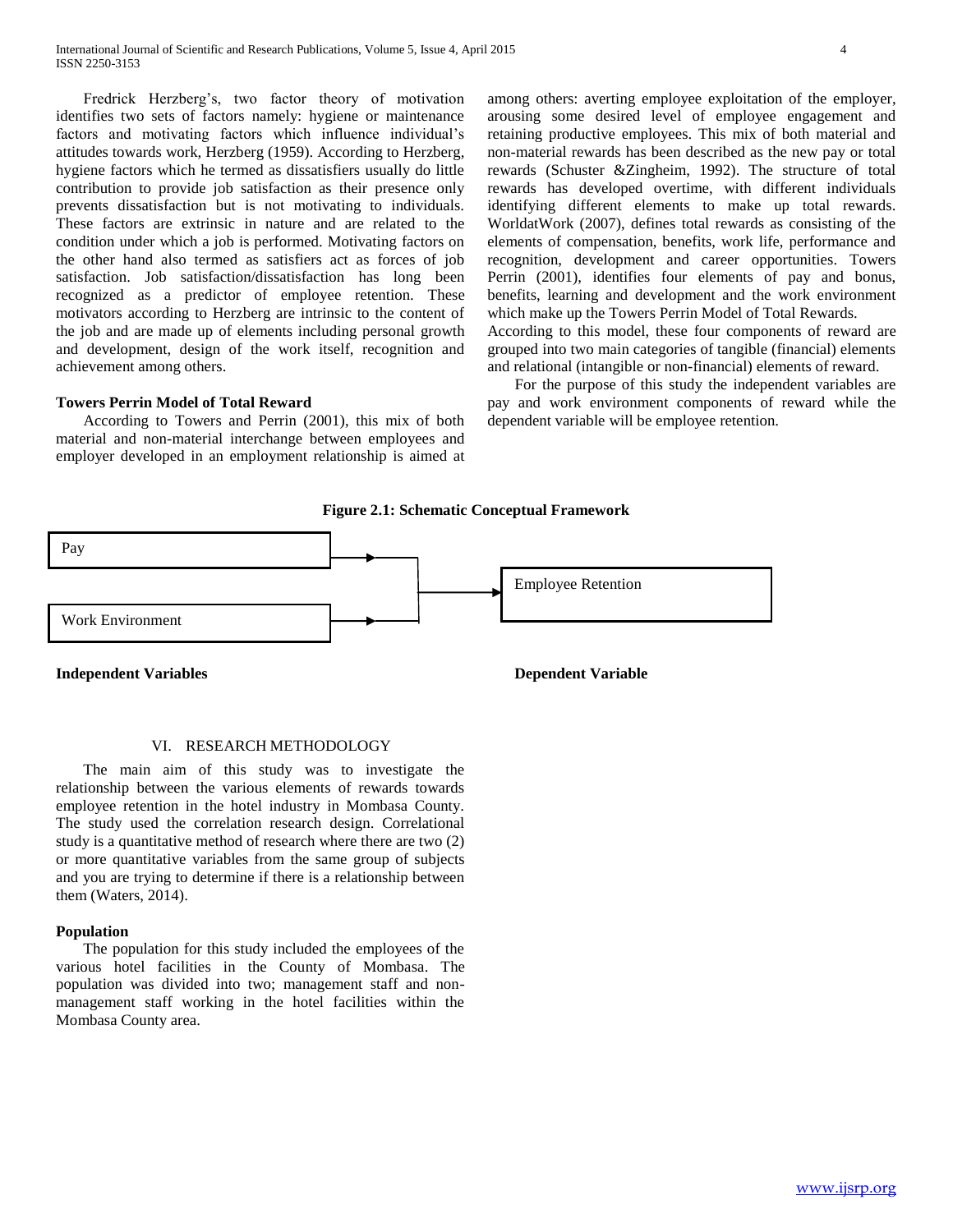Fredrick Herzberg's, two factor theory of motivation identifies two sets of factors namely: hygiene or maintenance factors and motivating factors which influence individual's attitudes towards work, Herzberg (1959). According to Herzberg, hygiene factors which he termed as dissatisfiers usually do little contribution to provide job satisfaction as their presence only prevents dissatisfaction but is not motivating to individuals. These factors are extrinsic in nature and are related to the condition under which a job is performed. Motivating factors on the other hand also termed as satisfiers act as forces of job satisfaction. Job satisfaction/dissatisfaction has long been recognized as a predictor of employee retention. These motivators according to Herzberg are intrinsic to the content of the job and are made up of elements including personal growth and development, design of the work itself, recognition and achievement among others.

# **Towers Perrin Model of Total Reward**

 According to Towers and Perrin (2001), this mix of both material and non-material interchange between employees and employer developed in an employment relationship is aimed at among others: averting employee exploitation of the employer, arousing some desired level of employee engagement and retaining productive employees. This mix of both material and non-material rewards has been described as the new pay or total rewards (Schuster &Zingheim, 1992). The structure of total rewards has developed overtime, with different individuals identifying different elements to make up total rewards. WorldatWork (2007), defines total rewards as consisting of the elements of compensation, benefits, work life, performance and recognition, development and career opportunities. Towers Perrin (2001), identifies four elements of pay and bonus, benefits, learning and development and the work environment which make up the Towers Perrin Model of Total Rewards. According to this model, these four components of reward are grouped into two main categories of tangible (financial) elements and relational (intangible or non-financial) elements of reward.

 For the purpose of this study the independent variables are pay and work environment components of reward while the dependent variable will be employee retention.





**Independent Variables Dependent Variable**

#### VI. RESEARCH METHODOLOGY

 The main aim of this study was to investigate the relationship between the various elements of rewards towards employee retention in the hotel industry in Mombasa County. The study used the correlation research design. Correlational study is a quantitative method of research where there are two (2) or more quantitative variables from the same group of subjects and you are trying to determine if there is a relationship between them (Waters, 2014).

#### **Population**

 The population for this study included the employees of the various hotel facilities in the County of Mombasa. The population was divided into two; management staff and nonmanagement staff working in the hotel facilities within the Mombasa County area.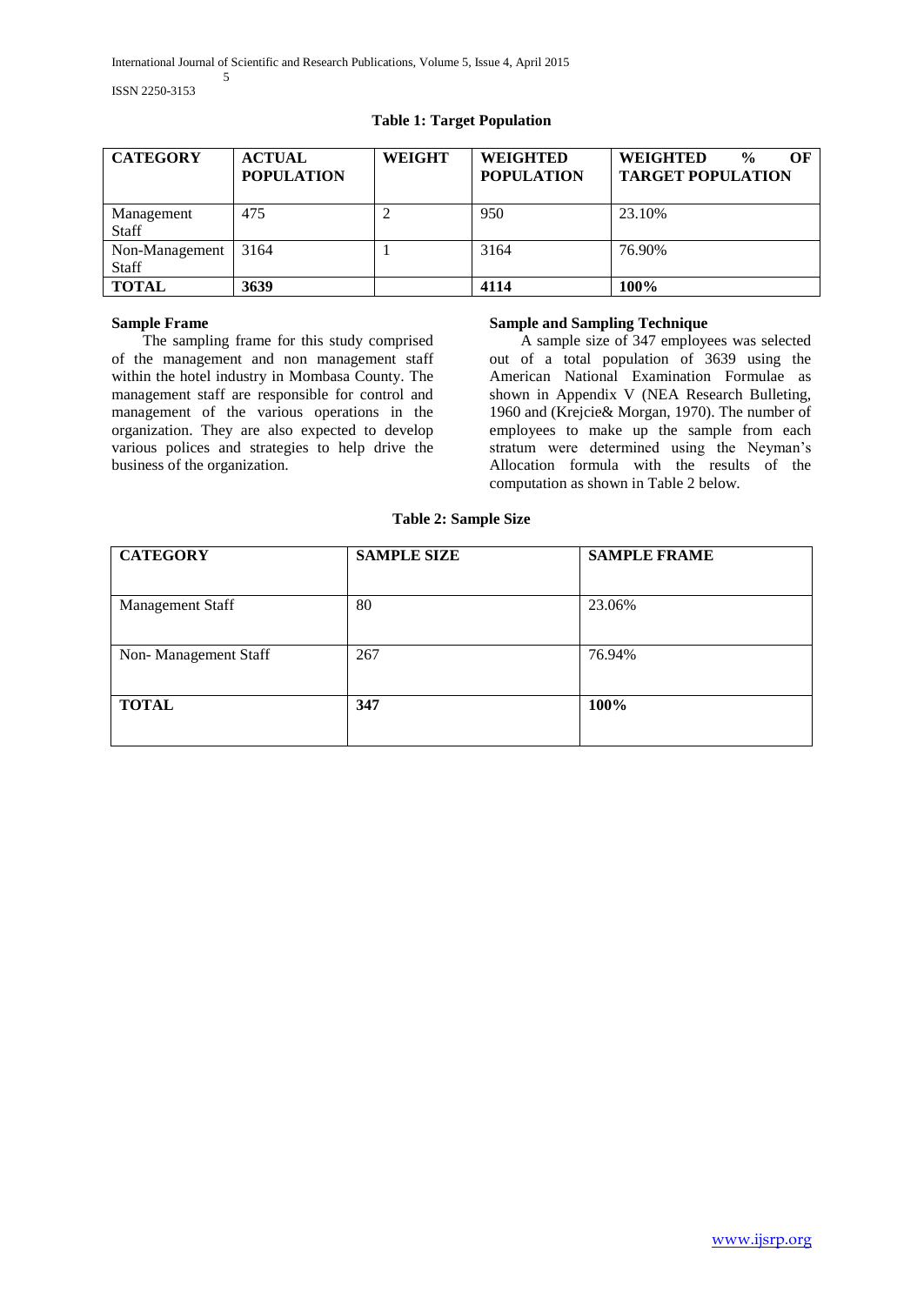# **Table 1: Target Population**

| <b>CATEGORY</b>            | <b>ACTUAL</b><br><b>POPULATION</b> | <b>WEIGHT</b> | <b>WEIGHTED</b><br><b>POPULATION</b> | <b>WEIGHTED</b><br>OЕ<br>$\frac{0}{0}$<br><b>TARGET POPULATION</b> |
|----------------------------|------------------------------------|---------------|--------------------------------------|--------------------------------------------------------------------|
| Management<br><b>Staff</b> | 475                                |               | 950                                  | 23.10%                                                             |
| Non-Management<br>Staff    | 3164                               |               | 3164                                 | 76.90%                                                             |
| <b>TOTAL</b>               | 3639                               |               | 4114                                 | 100%                                                               |

# **Sample Frame**

 The sampling frame for this study comprised of the management and non management staff within the hotel industry in Mombasa County. The management staff are responsible for control and management of the various operations in the organization. They are also expected to develop various polices and strategies to help drive the business of the organization.

# **Sample and Sampling Technique**

 A sample size of 347 employees was selected out of a total population of 3639 using the American National Examination Formulae as shown in Appendix V (NEA Research Bulleting, 1960 and (Krejcie& Morgan, 1970). The number of employees to make up the sample from each stratum were determined using the Neyman's Allocation formula with the results of the computation as shown in Table 2 below.

**Table 2: Sample Size**

| <b>CATEGORY</b>         | <b>SAMPLE SIZE</b> | <b>SAMPLE FRAME</b> |  |
|-------------------------|--------------------|---------------------|--|
| <b>Management Staff</b> | 80                 | 23.06%              |  |
| Non-Management Staff    | 267                | 76.94%              |  |
| <b>TOTAL</b>            | 347                | 100%                |  |
|                         |                    |                     |  |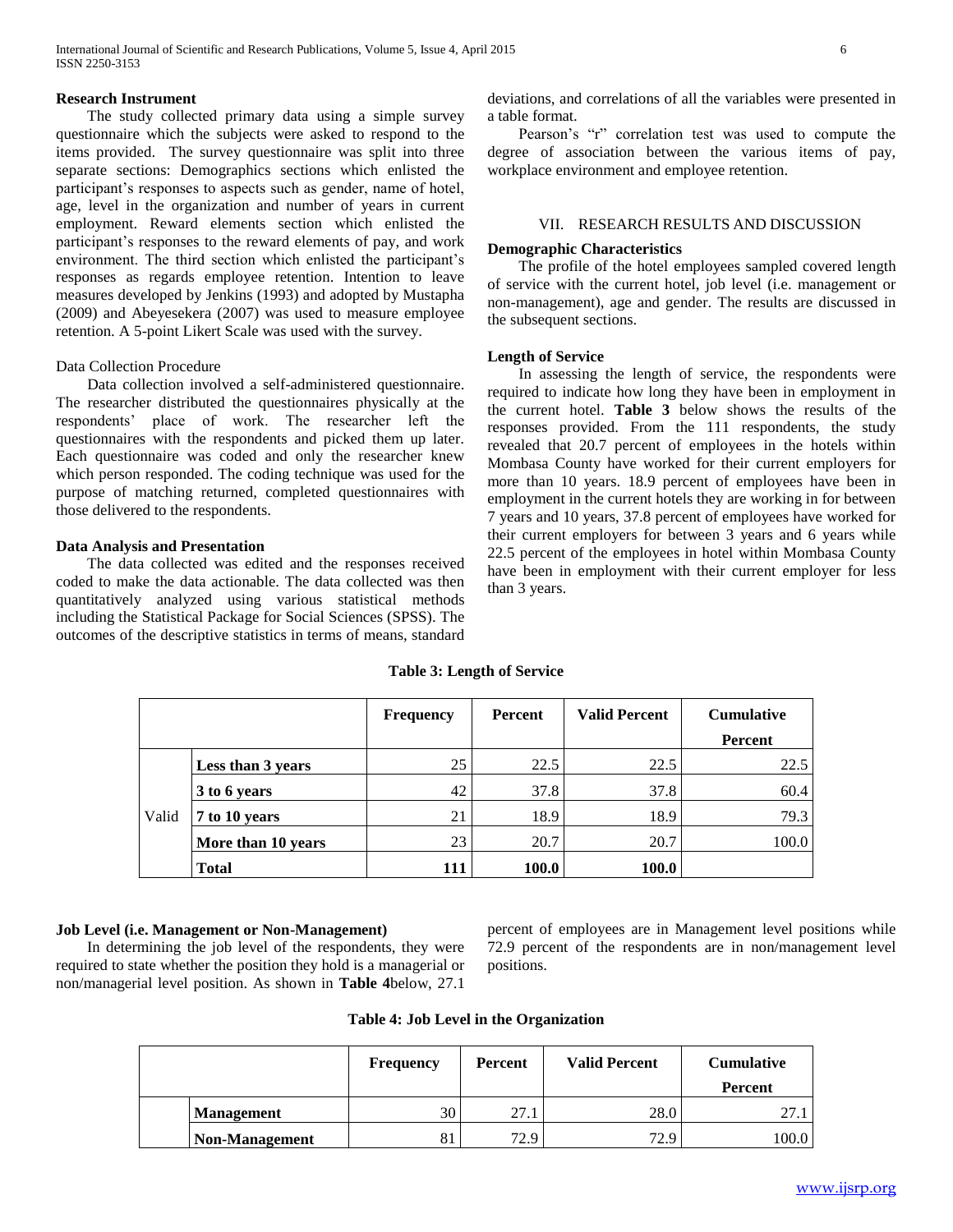#### **Research Instrument**

 The study collected primary data using a simple survey questionnaire which the subjects were asked to respond to the items provided. The survey questionnaire was split into three separate sections: Demographics sections which enlisted the participant's responses to aspects such as gender, name of hotel, age, level in the organization and number of years in current employment. Reward elements section which enlisted the participant's responses to the reward elements of pay, and work environment. The third section which enlisted the participant's responses as regards employee retention. Intention to leave measures developed by Jenkins (1993) and adopted by Mustapha (2009) and Abeyesekera (2007) was used to measure employee retention. A 5-point Likert Scale was used with the survey.

# Data Collection Procedure

 Data collection involved a self-administered questionnaire. The researcher distributed the questionnaires physically at the respondents' place of work. The researcher left the questionnaires with the respondents and picked them up later. Each questionnaire was coded and only the researcher knew which person responded. The coding technique was used for the purpose of matching returned, completed questionnaires with those delivered to the respondents.

### **Data Analysis and Presentation**

 The data collected was edited and the responses received coded to make the data actionable. The data collected was then quantitatively analyzed using various statistical methods including the Statistical Package for Social Sciences (SPSS). The outcomes of the descriptive statistics in terms of means, standard deviations, and correlations of all the variables were presented in a table format.

 Pearson's "r" correlation test was used to compute the degree of association between the various items of pay, workplace environment and employee retention.

#### VII. RESEARCH RESULTS AND DISCUSSION

#### **Demographic Characteristics**

 The profile of the hotel employees sampled covered length of service with the current hotel, job level (i.e. management or non-management), age and gender. The results are discussed in the subsequent sections.

#### **Length of Service**

 In assessing the length of service, the respondents were required to indicate how long they have been in employment in the current hotel. **Table 3** below shows the results of the responses provided. From the 111 respondents, the study revealed that 20.7 percent of employees in the hotels within Mombasa County have worked for their current employers for more than 10 years. 18.9 percent of employees have been in employment in the current hotels they are working in for between 7 years and 10 years, 37.8 percent of employees have worked for their current employers for between 3 years and 6 years while 22.5 percent of the employees in hotel within Mombasa County have been in employment with their current employer for less than 3 years.

#### **Table 3: Length of Service**

|       |                    | <b>Frequency</b> | Percent      | <b>Valid Percent</b> | <b>Cumulative</b> |
|-------|--------------------|------------------|--------------|----------------------|-------------------|
|       |                    |                  |              |                      | Percent           |
|       | Less than 3 years  | 25               | 22.5         | 22.5                 | 22.5              |
|       | 3 to 6 years       | 42               | 37.8         | 37.8                 | 60.4              |
| Valid | 7 to 10 years      | 21               | 18.9         | 18.9                 | 79.3              |
|       | More than 10 years | 23               | 20.7         | 20.7                 | 100.0             |
|       | <b>Total</b>       | 111              | <b>100.0</b> | 100.0                |                   |

#### **Job Level (i.e. Management or Non-Management)**

 In determining the job level of the respondents, they were required to state whether the position they hold is a managerial or non/managerial level position. As shown in **Table 4**below, 27.1

percent of employees are in Management level positions while 72.9 percent of the respondents are in non/management level positions.

| Table 4: Job Level in the Organization |  |
|----------------------------------------|--|
|----------------------------------------|--|

|                | <b>Frequency</b> | Percent | <b>Valid Percent</b> | <b>Cumulative</b><br>Percent |
|----------------|------------------|---------|----------------------|------------------------------|
| Management     | 30               | 27.1    | 28.0                 |                              |
| Non-Management | 81               | 72.9    | 72.9                 | 100.0                        |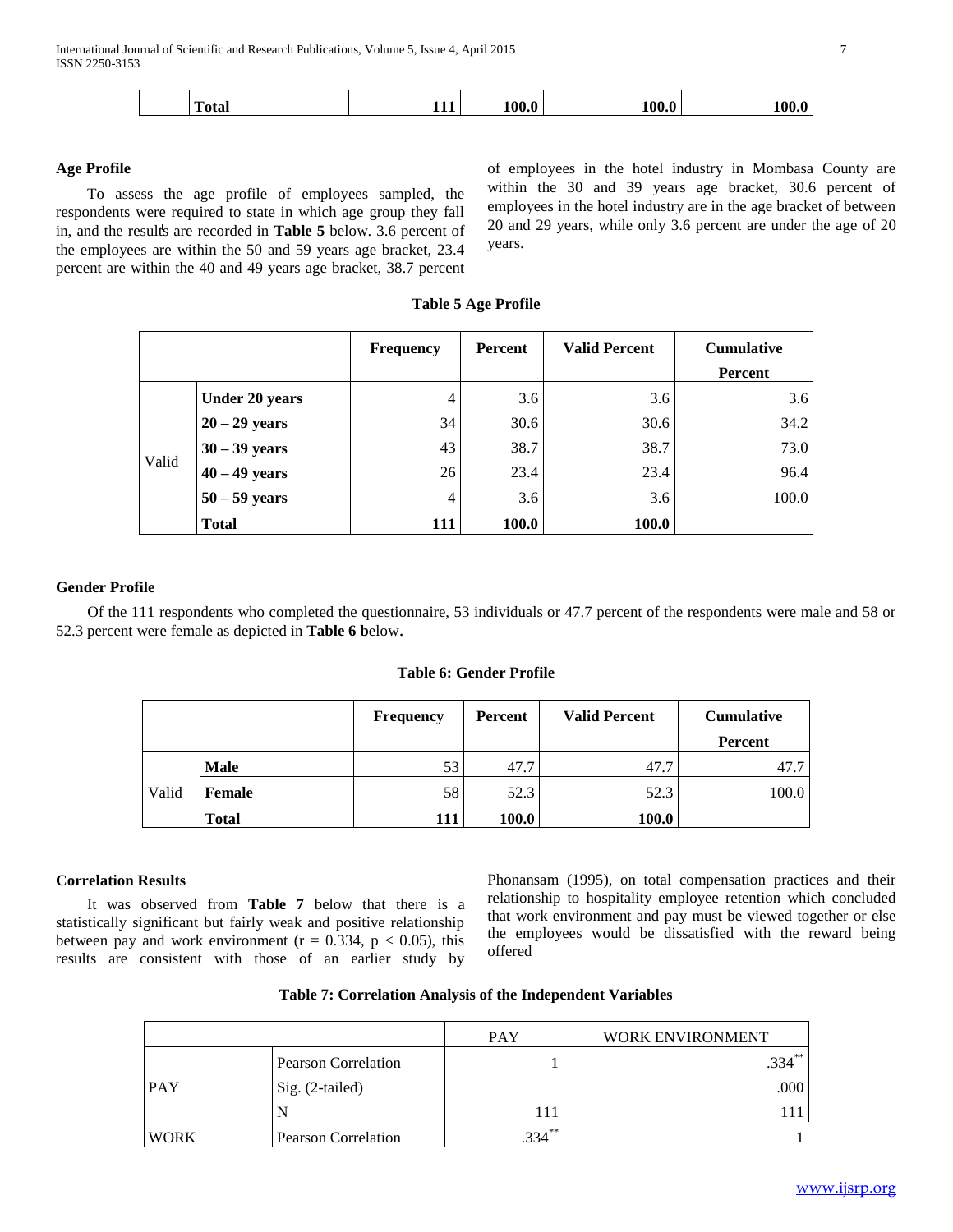#### **Age Profile**

 To assess the age profile of employees sampled, the respondents were required to state in which age group they fall in, and the results are recorded in **Table 5** below. 3.6 percent of the employees are within the 50 and 59 years age bracket, 23.4 percent are within the 40 and 49 years age bracket, 38.7 percent

of employees in the hotel industry in Mombasa County are within the 30 and 39 years age bracket, 30.6 percent of employees in the hotel industry are in the age bracket of between 20 and 29 years, while only 3.6 percent are under the age of 20 years.

|       |                       | <b>Frequency</b> | Percent      | <b>Valid Percent</b> | <b>Cumulative</b> |
|-------|-----------------------|------------------|--------------|----------------------|-------------------|
|       |                       |                  |              |                      | Percent           |
|       | <b>Under 20 years</b> | 4                | 3.6          | 3.6                  | 3.6               |
| Valid | $20 - 29$ years       | 34               | 30.6         | 30.6                 | 34.2              |
|       | $30 - 39$ years       | 43               | 38.7         | 38.7                 | 73.0              |
|       | $40 - 49$ years       | 26               | 23.4         | 23.4                 | 96.4              |
|       | $50 - 59$ years       | 4                | 3.6          | 3.6                  | 100.0             |
|       | <b>Total</b>          | 111              | <b>100.0</b> | <b>100.0</b>         |                   |

## **Gender Profile**

 Of the 111 respondents who completed the questionnaire, 53 individuals or 47.7 percent of the respondents were male and 58 or 52.3 percent were female as depicted in **Table 6 b**elow.

## **Table 6: Gender Profile**

|       |              | <b>Frequency</b> | Percent | <b>Valid Percent</b> | <b>Cumulative</b><br>Percent |
|-------|--------------|------------------|---------|----------------------|------------------------------|
|       |              |                  |         |                      |                              |
|       | <b>Male</b>  | 53               | 47.7    | 47.7                 | 47.7                         |
| Valid | Female       | 58               | 52.3    | 52.3                 | 100.0                        |
|       | <b>Total</b> | 111              | 100.0   | 100.0                |                              |

## **Correlation Results**

 It was observed from **Table 7** below that there is a statistically significant but fairly weak and positive relationship between pay and work environment ( $r = 0.334$ ,  $p < 0.05$ ), this results are consistent with those of an earlier study by

Phonansam (1995), on total compensation practices and their relationship to hospitality employee retention which concluded that work environment and pay must be viewed together or else the employees would be dissatisfied with the reward being offered

|            |                     | PAY | <i>'ORK ENVIRONMENT</i> |
|------------|---------------------|-----|-------------------------|
|            | Pearson Correlation |     |                         |
| <b>PAY</b> | $Sig. (2-tailed)$   |     |                         |
|            |                     |     |                         |
|            | Pearson Correlation |     |                         |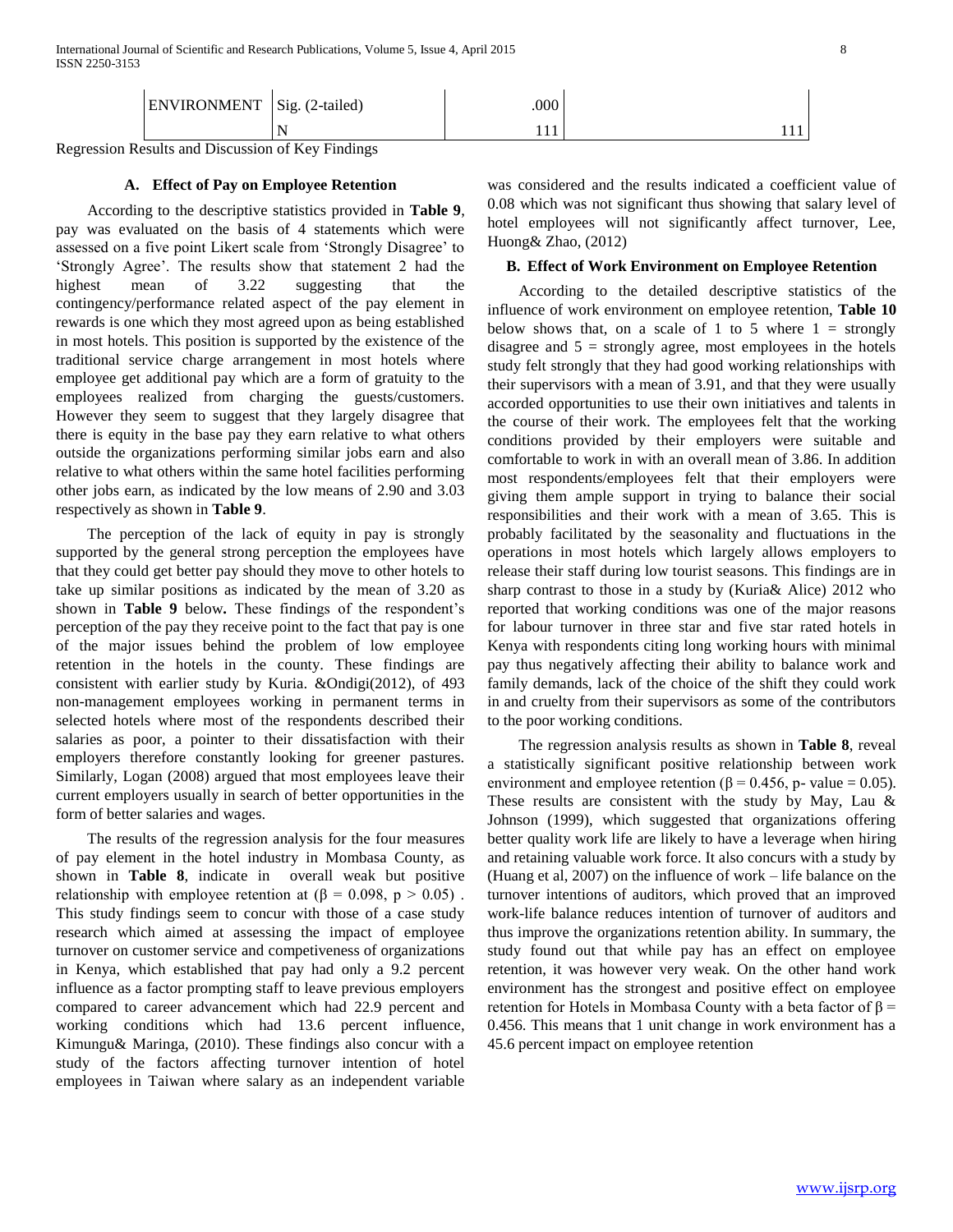| - 77<br>T<br>EN<br>טו<br>ப | $\sim$<br>$\Sigma$ 107<br>NIE.<br>auva<br>-<br>$\circ$ | .000    |              |
|----------------------------|--------------------------------------------------------|---------|--------------|
|                            | $\overline{\phantom{a}}$                               | -1<br>. | .<br>------- |

Regression Results and Discussion of Key Findings

# **A. Effect of Pay on Employee Retention**

 According to the descriptive statistics provided in **Table 9**, pay was evaluated on the basis of 4 statements which were assessed on a five point Likert scale from 'Strongly Disagree' to 'Strongly Agree'. The results show that statement 2 had the highest mean of 3.22 suggesting that the contingency/performance related aspect of the pay element in rewards is one which they most agreed upon as being established in most hotels. This position is supported by the existence of the traditional service charge arrangement in most hotels where employee get additional pay which are a form of gratuity to the employees realized from charging the guests/customers. However they seem to suggest that they largely disagree that there is equity in the base pay they earn relative to what others outside the organizations performing similar jobs earn and also relative to what others within the same hotel facilities performing other jobs earn, as indicated by the low means of 2.90 and 3.03 respectively as shown in **Table 9**.

 The perception of the lack of equity in pay is strongly supported by the general strong perception the employees have that they could get better pay should they move to other hotels to take up similar positions as indicated by the mean of 3.20 as shown in **Table 9** below**.** These findings of the respondent's perception of the pay they receive point to the fact that pay is one of the major issues behind the problem of low employee retention in the hotels in the county. These findings are consistent with earlier study by Kuria. &Ondigi(2012), of 493 non-management employees working in permanent terms in selected hotels where most of the respondents described their salaries as poor, a pointer to their dissatisfaction with their employers therefore constantly looking for greener pastures. Similarly, Logan (2008) argued that most employees leave their current employers usually in search of better opportunities in the form of better salaries and wages.

 The results of the regression analysis for the four measures of pay element in the hotel industry in Mombasa County, as shown in **Table 8**, indicate in overall weak but positive relationship with employee retention at  $(\beta = 0.098, p > 0.05)$ . This study findings seem to concur with those of a case study research which aimed at assessing the impact of employee turnover on customer service and competiveness of organizations in Kenya, which established that pay had only a 9.2 percent influence as a factor prompting staff to leave previous employers compared to career advancement which had 22.9 percent and working conditions which had 13.6 percent influence, Kimungu& Maringa, (2010). These findings also concur with a study of the factors affecting turnover intention of hotel employees in Taiwan where salary as an independent variable

was considered and the results indicated a coefficient value of 0.08 which was not significant thus showing that salary level of hotel employees will not significantly affect turnover, Lee, Huong& Zhao, (2012)

### **B. Effect of Work Environment on Employee Retention**

 According to the detailed descriptive statistics of the influence of work environment on employee retention, **Table 10** below shows that, on a scale of 1 to 5 where  $1 =$  strongly disagree and  $5 =$  strongly agree, most employees in the hotels study felt strongly that they had good working relationships with their supervisors with a mean of 3.91, and that they were usually accorded opportunities to use their own initiatives and talents in the course of their work. The employees felt that the working conditions provided by their employers were suitable and comfortable to work in with an overall mean of 3.86. In addition most respondents/employees felt that their employers were giving them ample support in trying to balance their social responsibilities and their work with a mean of 3.65. This is probably facilitated by the seasonality and fluctuations in the operations in most hotels which largely allows employers to release their staff during low tourist seasons. This findings are in sharp contrast to those in a study by (Kuria& Alice) 2012 who reported that working conditions was one of the major reasons for labour turnover in three star and five star rated hotels in Kenya with respondents citing long working hours with minimal pay thus negatively affecting their ability to balance work and family demands, lack of the choice of the shift they could work in and cruelty from their supervisors as some of the contributors to the poor working conditions.

 The regression analysis results as shown in **Table 8**, reveal a statistically significant positive relationship between work environment and employee retention ( $\beta$  = 0.456, p- value = 0.05). These results are consistent with the study by May, Lau & Johnson (1999), which suggested that organizations offering better quality work life are likely to have a leverage when hiring and retaining valuable work force. It also concurs with a study by (Huang et al, 2007) on the influence of work – life balance on the turnover intentions of auditors, which proved that an improved work-life balance reduces intention of turnover of auditors and thus improve the organizations retention ability. In summary, the study found out that while pay has an effect on employee retention, it was however very weak. On the other hand work environment has the strongest and positive effect on employee retention for Hotels in Mombasa County with a beta factor of  $\beta$  = 0.456. This means that 1 unit change in work environment has a 45.6 percent impact on employee retention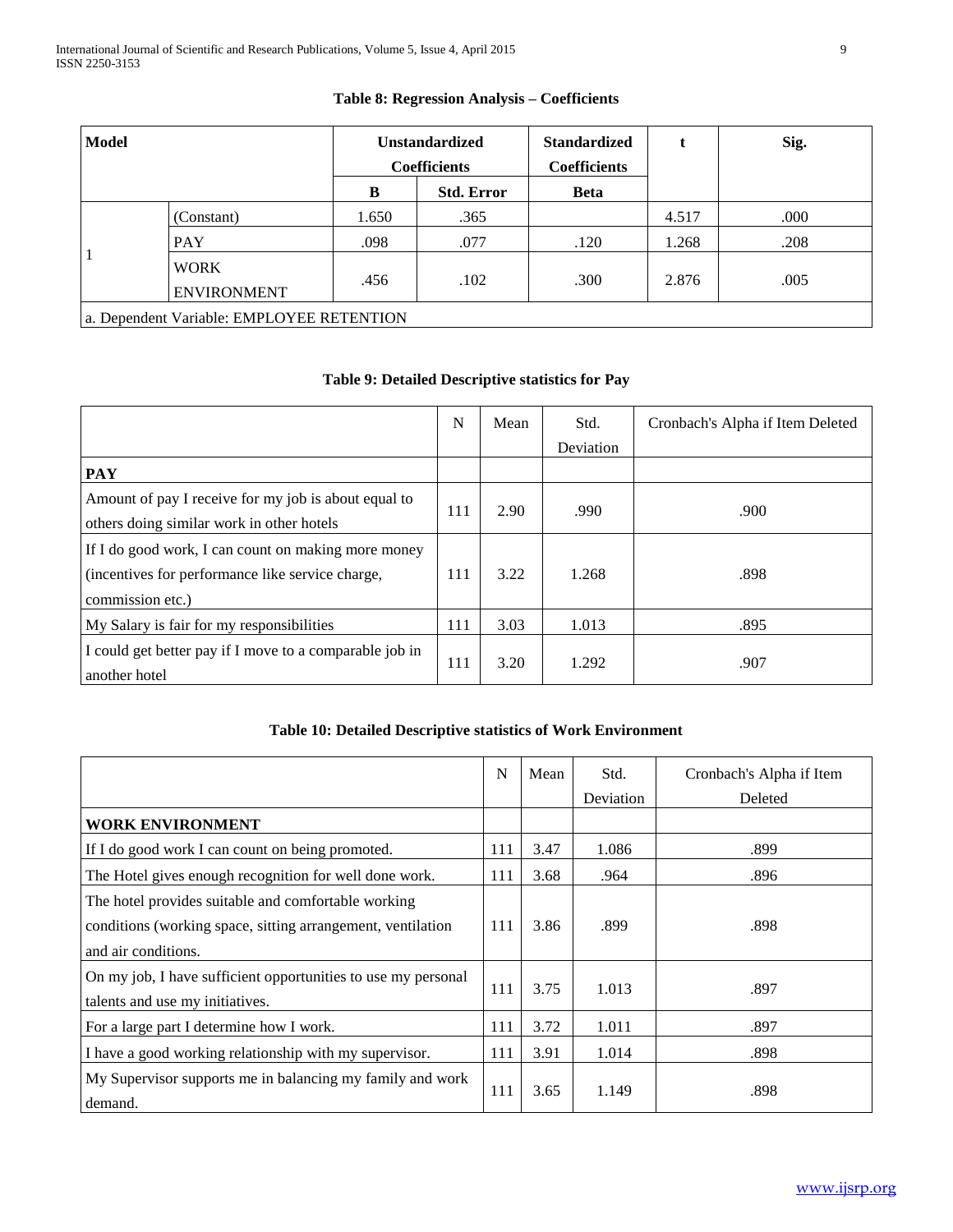| <b>Model</b> |                                           |       | <b>Unstandardized</b><br><b>Coefficients</b> |             |       | Sig. |  |
|--------------|-------------------------------------------|-------|----------------------------------------------|-------------|-------|------|--|
|              |                                           | B     | <b>Std. Error</b>                            | <b>Beta</b> |       |      |  |
|              | (Constant)                                | 1.650 | .365                                         |             | 4.517 | .000 |  |
|              | <b>PAY</b>                                | .098  | .077                                         | .120        | 1.268 | .208 |  |
|              | <b>WORK</b><br><b>ENVIRONMENT</b>         | .456  | .102                                         | .300        | 2.876 | .005 |  |
|              | a. Dependent Variable: EMPLOYEE RETENTION |       |                                              |             |       |      |  |

# **Table 8: Regression Analysis – Coefficients**

# **Table 9: Detailed Descriptive statistics for Pay**

|                                                                                                                             | N   | Mean | Std.      | Cronbach's Alpha if Item Deleted |
|-----------------------------------------------------------------------------------------------------------------------------|-----|------|-----------|----------------------------------|
|                                                                                                                             |     |      | Deviation |                                  |
| <b>PAY</b>                                                                                                                  |     |      |           |                                  |
| Amount of pay I receive for my job is about equal to<br>others doing similar work in other hotels                           | 111 | 2.90 | .990      | .900                             |
| If I do good work, I can count on making more money<br>(incentives for performance like service charge,<br>commission etc.) | 111 | 3.22 | 1.268     | .898                             |
| My Salary is fair for my responsibilities                                                                                   |     | 3.03 | 1.013     | .895                             |
| I could get better pay if I move to a comparable job in<br>another hotel                                                    |     | 3.20 | 1.292     | .907                             |

# **Table 10: Detailed Descriptive statistics of Work Environment**

|                                                                      | N   | Mean | Std.      | Cronbach's Alpha if Item |
|----------------------------------------------------------------------|-----|------|-----------|--------------------------|
|                                                                      |     |      | Deviation | Deleted                  |
| <b>WORK ENVIRONMENT</b>                                              |     |      |           |                          |
| If I do good work I can count on being promoted.                     | 111 | 3.47 | 1.086     | .899                     |
| The Hotel gives enough recognition for well done work.               | 111 | 3.68 | .964      | .896                     |
| The hotel provides suitable and comfortable working                  |     |      |           |                          |
| conditions (working space, sitting arrangement, ventilation          |     | 3.86 | .899      | .898                     |
| and air conditions.                                                  |     |      |           |                          |
| On my job, I have sufficient opportunities to use my personal        |     | 3.75 | 1.013     | .897                     |
| talents and use my initiatives.                                      |     |      |           |                          |
| For a large part I determine how I work.                             | 111 | 3.72 | 1.011     | .897                     |
| I have a good working relationship with my supervisor.               | 111 | 3.91 | 1.014     | .898                     |
| My Supervisor supports me in balancing my family and work<br>demand. |     | 3.65 | 1.149     | .898                     |